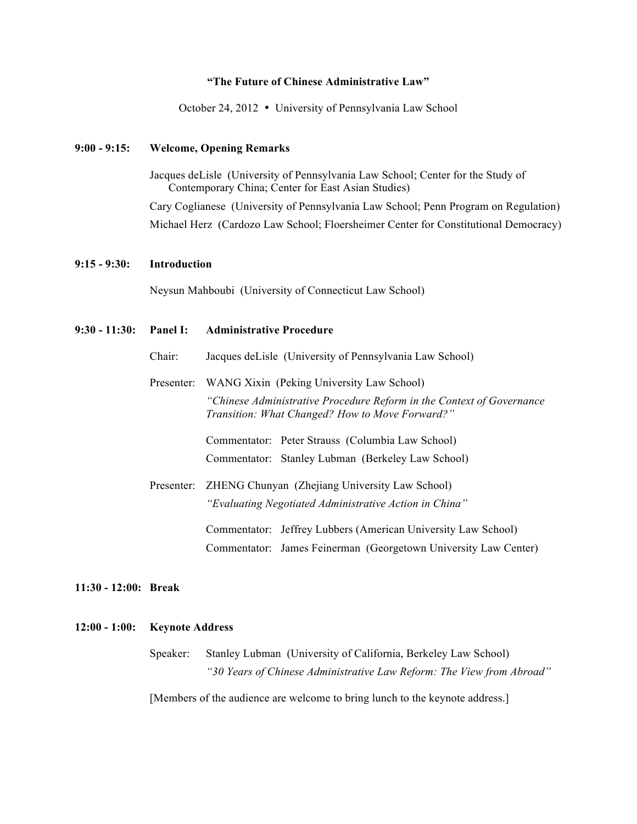# **"The Future of Chinese Administrative Law"**

October 24, 2012 • University of Pennsylvania Law School

# **9:00 - 9:15: Welcome, Opening Remarks**

Jacques deLisle (University of Pennsylvania Law School; Center for the Study of Contemporary China; Center for East Asian Studies)

Cary Coglianese (University of Pennsylvania Law School; Penn Program on Regulation) Michael Herz (Cardozo Law School; Floersheimer Center for Constitutional Democracy)

#### **9:15 - 9:30: Introduction**

Neysun Mahboubi (University of Connecticut Law School)

# **9:30 - 11:30: Panel I: Administrative Procedure** Chair: Jacques deLisle (University of Pennsylvania Law School) Presenter: WANG Xixin (Peking University Law School) *"Chinese Administrative Procedure Reform in the Context of Governance Transition: What Changed? How to Move Forward?"* Commentator: Peter Strauss (Columbia Law School) Commentator: Stanley Lubman (Berkeley Law School) Presenter: ZHENG Chunyan (Zhejiang University Law School) *"Evaluating Negotiated Administrative Action in China"* Commentator: Jeffrey Lubbers (American University Law School) Commentator: James Feinerman (Georgetown University Law Center)

**11:30 - 12:00: Break**

# **12:00 - 1:00: Keynote Address**

Speaker: Stanley Lubman (University of California, Berkeley Law School) *"30 Years of Chinese Administrative Law Reform: The View from Abroad"*

[Members of the audience are welcome to bring lunch to the keynote address.]